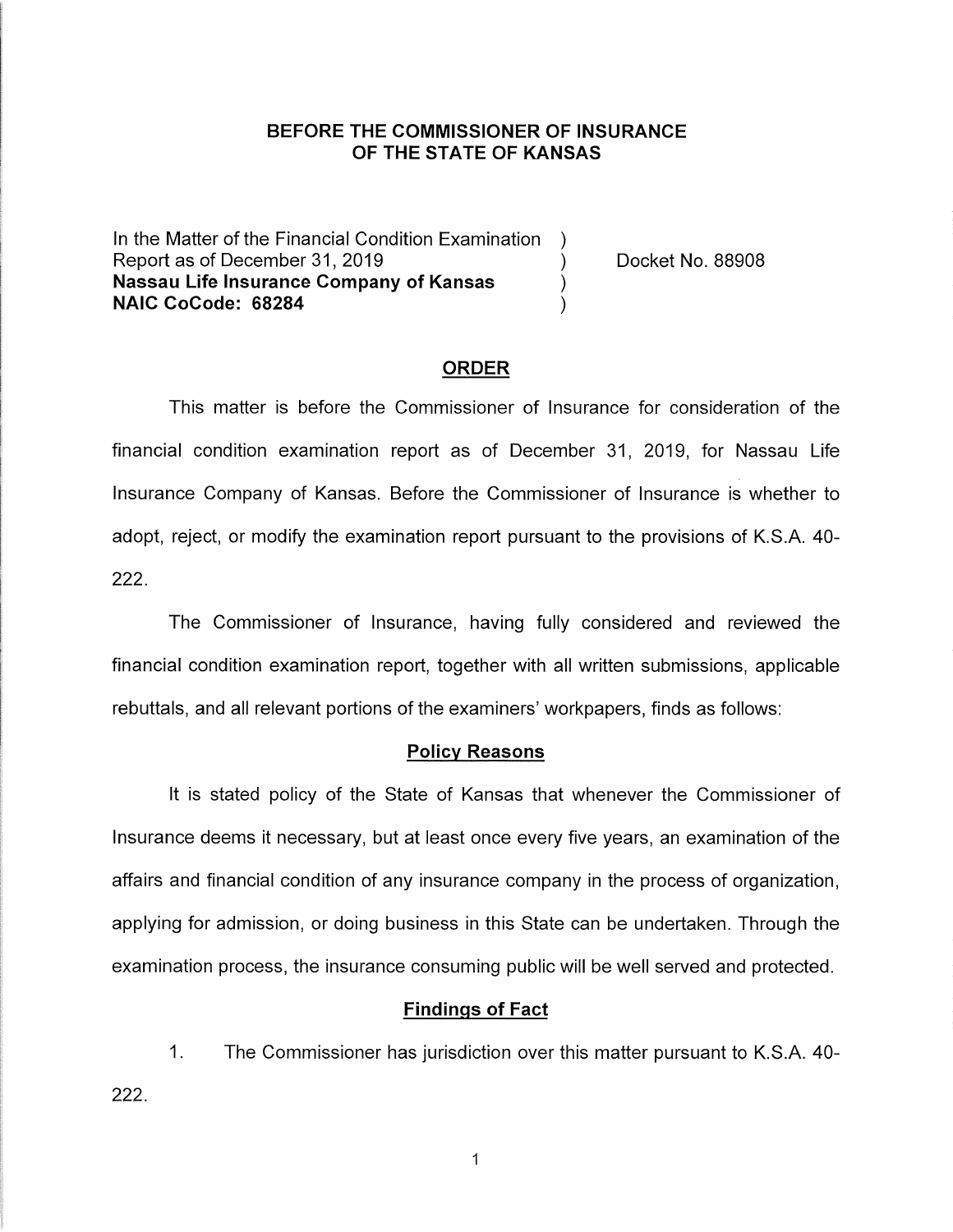## **BEFORE THE COMMISSIONER OF INSURANCE OF THE STATE OF KANSAS**

In the Matter of the Financial Condition Examination ) Report as of December 31, 2019 (and the contract the Docket No. 88908) **Nassau Life Insurance Company of Kansas** ) **NAIC CoCode: 68284** )

### **ORDER**

This matter is before the Commissioner of Insurance for consideration of the financial condition examination report as of December 31, 2019, for Nassau Life Insurance Company of Kansas. Before the Commissioner of Insurance is whether to adopt, reject, or modify the examination report pursuant to the provisions of K.S.A. 40- 222.

The Commissioner of Insurance, having fully considered and reviewed the financial condition examination report, together with all written submissions, applicable rebuttals, and all relevant portions of the examiners' workpapers, finds as follows:

#### **Policy Reasons**

It is stated policy of the State of Kansas that whenever the Commissioner of Insurance deems it necessary, but at least once every five years, an examination of the affairs and financial condition of any insurance company in the process of organization, applying for admission, or doing business in this State can be undertaken. Through the examination process, the insurance consuming public will be well served and protected.

#### **Findings of Fact**

1. The Commissioner has jurisdiction over this matter pursuant to K.S.A. 40- 222.

 $\mathbf{1}$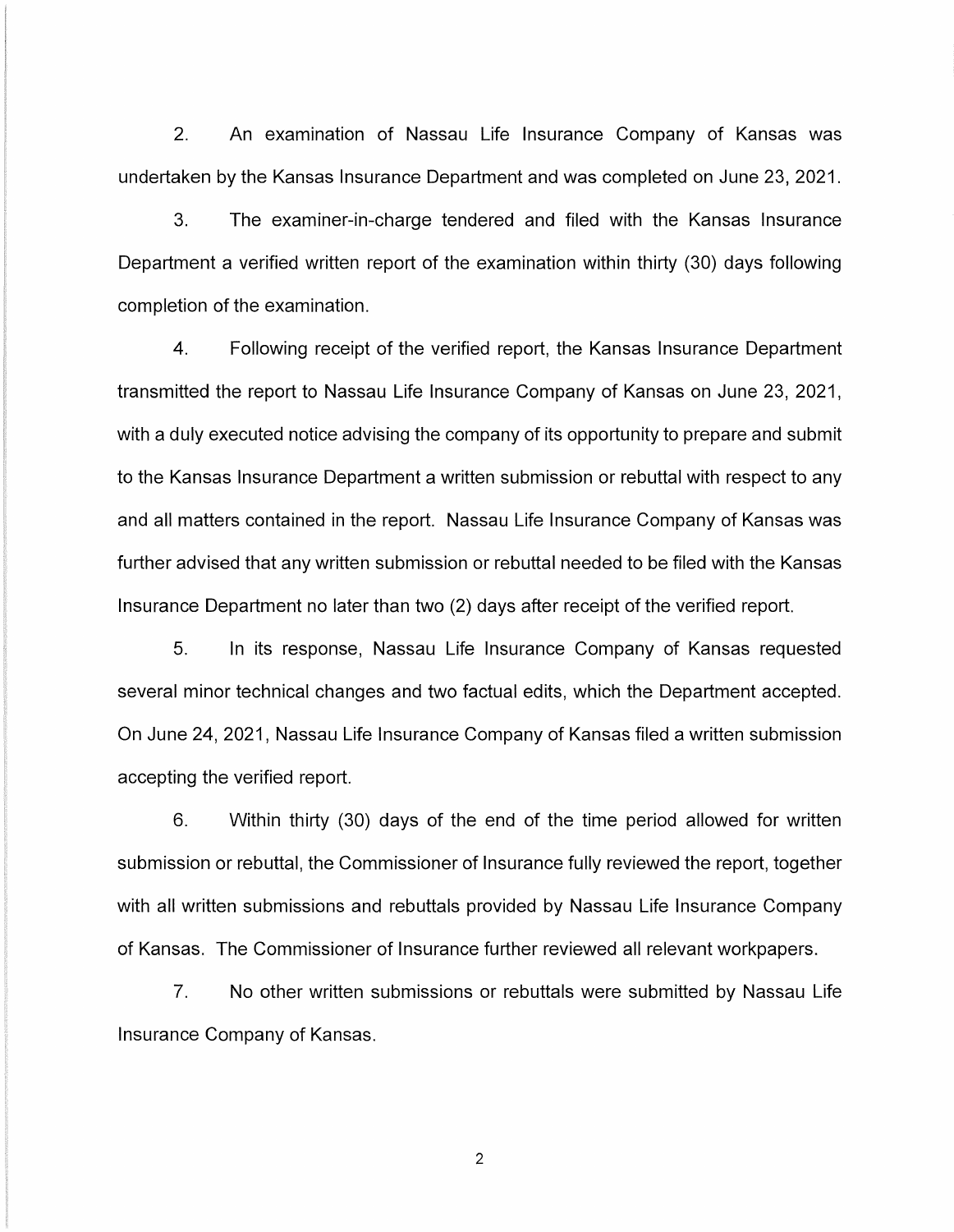2. An examination of Nassau Life Insurance Company of Kansas was undertaken by the Kansas Insurance Department and was completed on June 23, 2021.

3. The examiner-in-charge tendered and filed with the Kansas Insurance Department a verified written report of the examination within thirty (30) days following completion of the examination.

4. Following receipt of the verified report, the Kansas Insurance Department transmitted the report to Nassau Life Insurance Company of Kansas on June 23, 2021, with a duly executed notice advising the company of its opportunity to prepare and submit to the Kansas Insurance Department a written submission or rebuttal with respect to any and all matters contained in the report. Nassau Life Insurance Company of Kansas was further advised that any written submission or rebuttal needed to be filed with the Kansas Insurance Department no later than two (2) days after receipt of the verified report.

5. In its response, Nassau Life Insurance Company of Kansas requested several minor technical changes and two factual edits, which the Department accepted. On June 24, 2021, Nassau Life Insurance Company of Kansas filed a written submission accepting the verified report.

6. Within thirty (30) days of the end of the time period allowed for written submission or rebuttal, the Commissioner of Insurance fully reviewed the report, together with all written submissions and rebuttals provided by Nassau Life Insurance Company of Kansas. The Commissioner of Insurance further reviewed all relevant workpapers.

7. No other written submissions or rebuttals were submitted by Nassau Life Insurance Company of Kansas.

2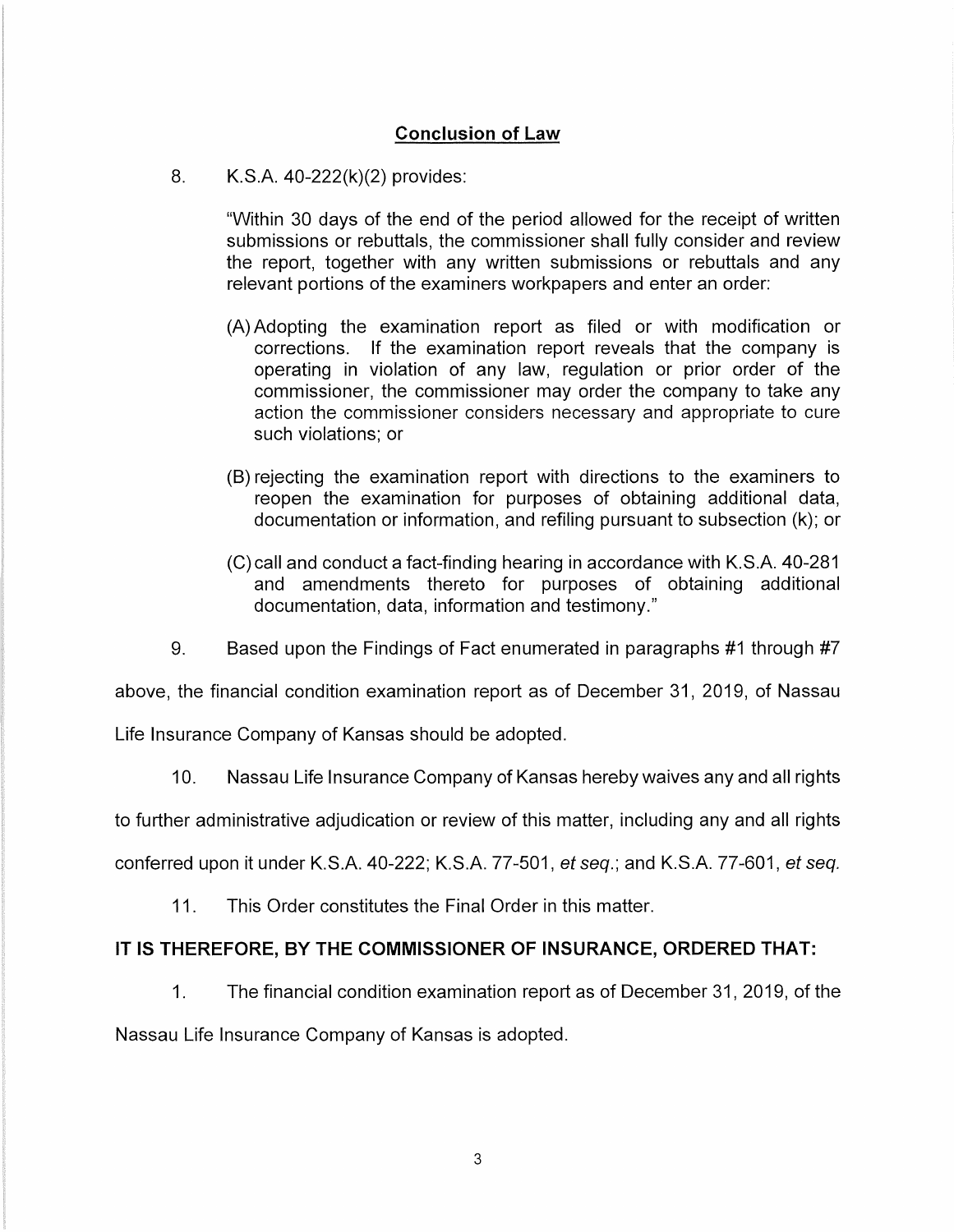## **Conclusion of Law**

8. K.S.A. 40-222(k)(2) provides:

"Within 30 days of the end of the period allowed for the receipt of written submissions or rebuttals, the commissioner shall fully consider and review the report, together with any written submissions or rebuttals and any relevant portions of the examiners workpapers and enter an order:

- (A) Adopting the examination report as filed or with modification or corrections. If the examination report reveals that the company is operating in violation of any law, regulation or prior order of the commissioner, the commissioner may order the company to take any action the commissioner considers necessary and appropriate to cure such violations; or
- (B) rejecting the examination report with directions to the examiners to reopen the examination for purposes of obtaining additional data, documentation or information, and refiling pursuant to subsection (k); or
- (C)call and conduct a fact-finding hearing in accordance with K.S.A. 40-281 and amendments thereto for purposes of obtaining additional documentation, data, information and testimony."
- 9. Based upon the Findings of Fact enumerated in paragraphs #1 through #7

above, the financial condition examination report as of December 31, 2019, of Nassau

Life Insurance Company of Kansas should be adopted.

10. Nassau Life Insurance Company of Kansas hereby waives any and all rights

to further administrative adjudication or review of this matter, including any and all rights

conferred upon it under K.S.A. 40-222; K.S.A. 77-501, et seq.; and K.S.A. 77-601, et seq.

11. This Order constitutes the Final Order in this matter.

## **IT IS THEREFORE, BY THE COMMISSIONER OF INSURANCE, ORDERED THAT:**

1. The financial condition examination report as of December 31, 2019, of the Nassau Life Insurance Company of Kansas is adopted.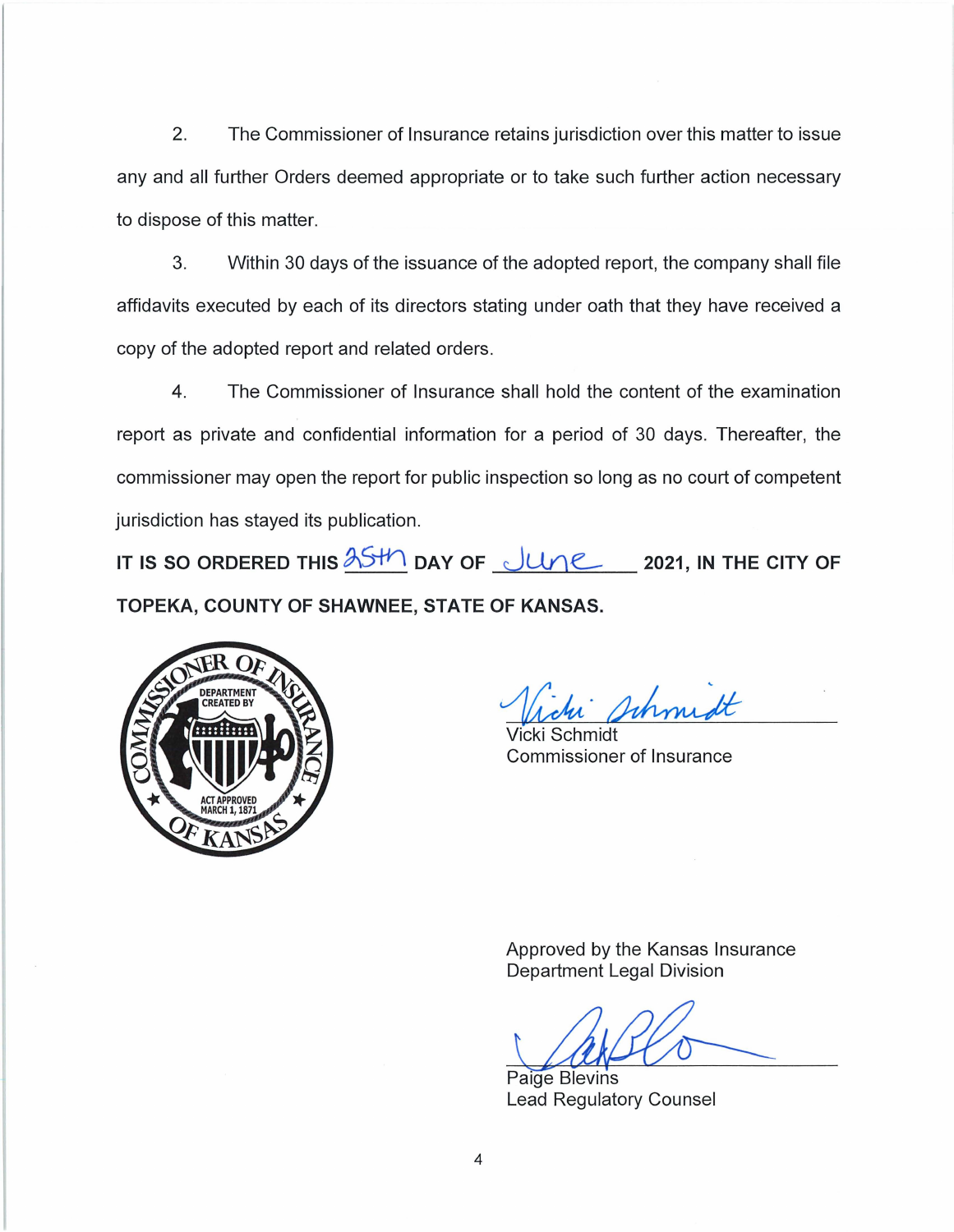2. The Commissioner of Insurance retains jurisdiction over this matter to issue any and all further Orders deemed appropriate or to take such further action necessary to dispose of this matter.

3. Within 30 days of the issuance of the adopted report, the company shall file affidavits executed by each of its directors stating under oath that they have received a copy of the adopted report and related orders.

4. The Commissioner of Insurance shall hold the content of the examination report as private and confidential information for a period of 30 days. Thereafter, the commissioner may open the report for public inspection so long as no court of competent jurisdiction has stayed its publication.

IT IS SO ORDERED THIS  $\frac{\lambda S H}{\lambda}$  DAY OF **JUNE** 2021, IN THE CITY OF **TOPEKA, COUNTY OF SHAWNEE, STATE OF KANSAS.** 



Schmidt

Vicki Schmidt Commissioner of Insurance

Approved by the Kansas Insurance Department Legal Division

Paige Blevins Lead Regulatory Counsel